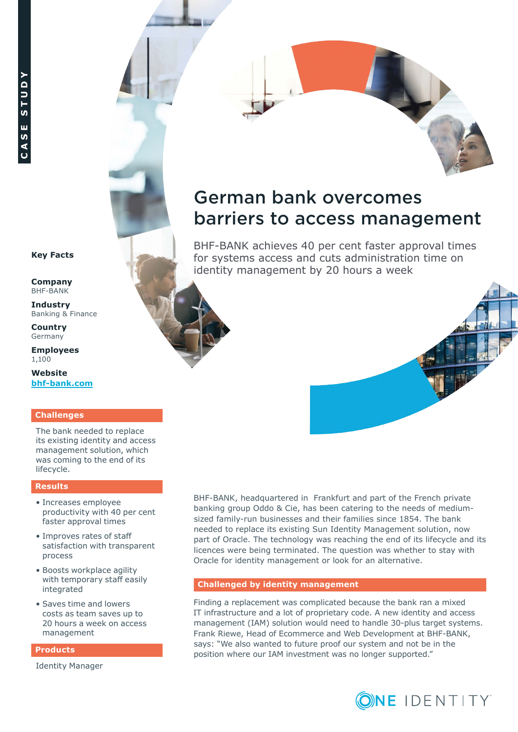# German bank overcomes barriers to access management

BHF-BANK achieves 40 per cent faster approval times for systems access and cuts administration time on identity management by 20 hours a week



**Company** BHF-BANK

**Industry**  Banking & Finance

**Country** Germany

**Employees** 1,100

**Website [bhf-bank.com](http://www.bhf-bank.com)**

# **Challenges**

The bank needed to replace its existing identity and access management solution, which was coming to the end of its lifecycle.

#### **Results**

- Increases employee productivity with 40 per cent faster approval times
- Improves rates of staff satisfaction with transparent process
- Boosts workplace agility with temporary staff easily integrated
- Saves time and lowers costs as team saves up to 20 hours a week on access management

#### **Products**

[Id](https://software.dell.com/solutions/identity-and-access-management/)entity Manager

BHF-BANK, headquartered in Frankfurt and part of the French private banking group Oddo & Cie, has been catering to the needs of mediumsized family-run businesses and their families since 1854. The bank needed to replace its existing Sun Identity Management solution, now part of Oracle. The technology was reaching the end of its lifecycle and its licences were being terminated. The question was whether to stay with Oracle for identity management or look for an alternative.

# **Challenged by identity management**

Finding a replacement was complicated because the bank ran a mixed IT infrastructure and a lot of proprietary code. A new identity and access management (IAM) solution would need to handle 30-plus target systems. Frank Riewe, Head of Ecommerce and Web Development at BHF-BANK, says: "We also wanted to future proof our system and not be in the position where our IAM investment was no longer supported."